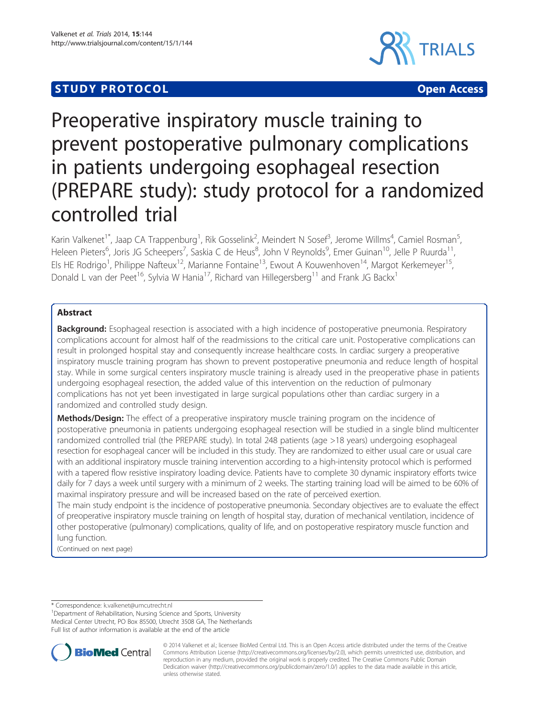# **STUDY PROTOCOL CONSUMING THE CONSUMING OPEN ACCESS**



# Preoperative inspiratory muscle training to prevent postoperative pulmonary complications in patients undergoing esophageal resection (PREPARE study): study protocol for a randomized controlled trial

Karin Valkenet<sup>1\*</sup>, Jaap CA Trappenburg<sup>1</sup>, Rik Gosselink<sup>2</sup>, Meindert N Sosef<sup>3</sup>, Jerome Willms<sup>4</sup>, Camiel Rosman<sup>5</sup> , Heleen Pieters<sup>6</sup>, Joris JG Scheepers<sup>7</sup>, Saskia C de Heus<sup>8</sup>, John V Reynolds<sup>9</sup>, Emer Guinan<sup>10</sup>, Jelle P Ruurda<sup>11</sup>, Els HE Rodrigo<sup>1</sup>, Philippe Nafteux<sup>12</sup>, Marianne Fontaine<sup>13</sup>, Ewout A Kouwenhoven<sup>14</sup>, Margot Kerkemeyer<sup>15</sup>, Donald L van der Peet<sup>16</sup>, Sylvia W Hania<sup>17</sup>, Richard van Hillegersberg<sup>11</sup> and Frank JG Backx<sup>1</sup>

# Abstract

Background: Esophageal resection is associated with a high incidence of postoperative pneumonia. Respiratory complications account for almost half of the readmissions to the critical care unit. Postoperative complications can result in prolonged hospital stay and consequently increase healthcare costs. In cardiac surgery a preoperative inspiratory muscle training program has shown to prevent postoperative pneumonia and reduce length of hospital stay. While in some surgical centers inspiratory muscle training is already used in the preoperative phase in patients undergoing esophageal resection, the added value of this intervention on the reduction of pulmonary complications has not yet been investigated in large surgical populations other than cardiac surgery in a randomized and controlled study design.

Methods/Design: The effect of a preoperative inspiratory muscle training program on the incidence of postoperative pneumonia in patients undergoing esophageal resection will be studied in a single blind multicenter randomized controlled trial (the PREPARE study). In total 248 patients (age >18 years) undergoing esophageal resection for esophageal cancer will be included in this study. They are randomized to either usual care or usual care with an additional inspiratory muscle training intervention according to a high-intensity protocol which is performed with a tapered flow resistive inspiratory loading device. Patients have to complete 30 dynamic inspiratory efforts twice daily for 7 days a week until surgery with a minimum of 2 weeks. The starting training load will be aimed to be 60% of maximal inspiratory pressure and will be increased based on the rate of perceived exertion.

The main study endpoint is the incidence of postoperative pneumonia. Secondary objectives are to evaluate the effect of preoperative inspiratory muscle training on length of hospital stay, duration of mechanical ventilation, incidence of other postoperative (pulmonary) complications, quality of life, and on postoperative respiratory muscle function and lung function.

(Continued on next page)

\* Correspondence: [k.valkenet@umcutrecht.nl](mailto:k.valkenet@umcutrecht.nl) <sup>1</sup>

<sup>1</sup>Department of Rehabilitation, Nursing Science and Sports, University Medical Center Utrecht, PO Box 85500, Utrecht 3508 GA, The Netherlands Full list of author information is available at the end of the article



© 2014 Valkenet et al.; licensee BioMed Central Ltd. This is an Open Access article distributed under the terms of the Creative Commons Attribution License [\(http://creativecommons.org/licenses/by/2.0\)](http://creativecommons.org/licenses/by/2.0), which permits unrestricted use, distribution, and reproduction in any medium, provided the original work is properly credited. The Creative Commons Public Domain Dedication waiver [\(http://creativecommons.org/publicdomain/zero/1.0/](http://creativecommons.org/publicdomain/zero/1.0/)) applies to the data made available in this article, unless otherwise stated.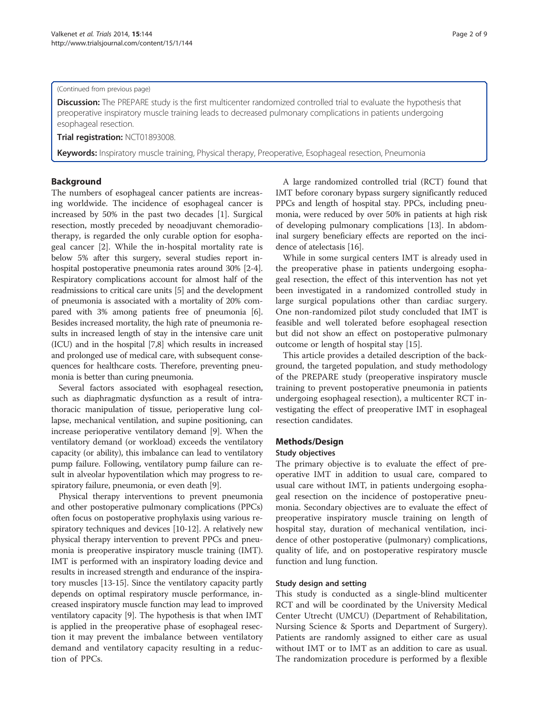### (Continued from previous page)

Discussion: The PREPARE study is the first multicenter randomized controlled trial to evaluate the hypothesis that preoperative inspiratory muscle training leads to decreased pulmonary complications in patients undergoing esophageal resection.

Trial registration: [NCT01893008](http://www.clinicaltrials.gov/ct2/results?term=NCT01893008&Search=Search).

Keywords: Inspiratory muscle training, Physical therapy, Preoperative, Esophageal resection, Pneumonia

# Background

The numbers of esophageal cancer patients are increasing worldwide. The incidence of esophageal cancer is increased by 50% in the past two decades [\[1](#page-7-0)]. Surgical resection, mostly preceded by neoadjuvant chemoradiotherapy, is regarded the only curable option for esophageal cancer [[2\]](#page-7-0). While the in-hospital mortality rate is below 5% after this surgery, several studies report inhospital postoperative pneumonia rates around 30% [\[2](#page-7-0)-[4](#page-8-0)]. Respiratory complications account for almost half of the readmissions to critical care units [[5\]](#page-8-0) and the development of pneumonia is associated with a mortality of 20% compared with 3% among patients free of pneumonia [[6](#page-8-0)]. Besides increased mortality, the high rate of pneumonia results in increased length of stay in the intensive care unit (ICU) and in the hospital [[7,8](#page-8-0)] which results in increased and prolonged use of medical care, with subsequent consequences for healthcare costs. Therefore, preventing pneumonia is better than curing pneumonia.

Several factors associated with esophageal resection, such as diaphragmatic dysfunction as a result of intrathoracic manipulation of tissue, perioperative lung collapse, mechanical ventilation, and supine positioning, can increase perioperative ventilatory demand [\[9](#page-8-0)]. When the ventilatory demand (or workload) exceeds the ventilatory capacity (or ability), this imbalance can lead to ventilatory pump failure. Following, ventilatory pump failure can result in alveolar hypoventilation which may progress to respiratory failure, pneumonia, or even death [[9](#page-8-0)].

Physical therapy interventions to prevent pneumonia and other postoperative pulmonary complications (PPCs) often focus on postoperative prophylaxis using various respiratory techniques and devices [\[10-12\]](#page-8-0). A relatively new physical therapy intervention to prevent PPCs and pneumonia is preoperative inspiratory muscle training (IMT). IMT is performed with an inspiratory loading device and results in increased strength and endurance of the inspiratory muscles [\[13-15](#page-8-0)]. Since the ventilatory capacity partly depends on optimal respiratory muscle performance, increased inspiratory muscle function may lead to improved ventilatory capacity [[9\]](#page-8-0). The hypothesis is that when IMT is applied in the preoperative phase of esophageal resection it may prevent the imbalance between ventilatory demand and ventilatory capacity resulting in a reduction of PPCs.

A large randomized controlled trial (RCT) found that IMT before coronary bypass surgery significantly reduced PPCs and length of hospital stay. PPCs, including pneumonia, were reduced by over 50% in patients at high risk of developing pulmonary complications [\[13](#page-8-0)]. In abdominal surgery beneficiary effects are reported on the incidence of atelectasis [\[16\]](#page-8-0).

While in some surgical centers IMT is already used in the preoperative phase in patients undergoing esophageal resection, the effect of this intervention has not yet been investigated in a randomized controlled study in large surgical populations other than cardiac surgery. One non-randomized pilot study concluded that IMT is feasible and well tolerated before esophageal resection but did not show an effect on postoperative pulmonary outcome or length of hospital stay [[15](#page-8-0)].

This article provides a detailed description of the background, the targeted population, and study methodology of the PREPARE study (preoperative inspiratory muscle training to prevent postoperative pneumonia in patients undergoing esophageal resection), a multicenter RCT investigating the effect of preoperative IMT in esophageal resection candidates.

# Methods/Design

# Study objectives

The primary objective is to evaluate the effect of preoperative IMT in addition to usual care, compared to usual care without IMT, in patients undergoing esophageal resection on the incidence of postoperative pneumonia. Secondary objectives are to evaluate the effect of preoperative inspiratory muscle training on length of hospital stay, duration of mechanical ventilation, incidence of other postoperative (pulmonary) complications, quality of life, and on postoperative respiratory muscle function and lung function.

# Study design and setting

This study is conducted as a single-blind multicenter RCT and will be coordinated by the University Medical Center Utrecht (UMCU) (Department of Rehabilitation, Nursing Science & Sports and Department of Surgery). Patients are randomly assigned to either care as usual without IMT or to IMT as an addition to care as usual. The randomization procedure is performed by a flexible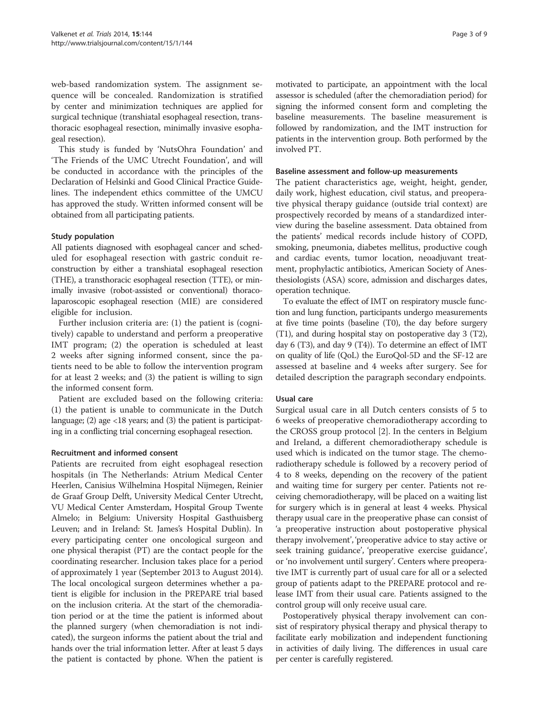web-based randomization system. The assignment sequence will be concealed. Randomization is stratified by center and minimization techniques are applied for surgical technique (transhiatal esophageal resection, transthoracic esophageal resection, minimally invasive esophageal resection).

This study is funded by 'NutsOhra Foundation' and 'The Friends of the UMC Utrecht Foundation', and will be conducted in accordance with the principles of the Declaration of Helsinki and Good Clinical Practice Guidelines. The independent ethics committee of the UMCU has approved the study. Written informed consent will be obtained from all participating patients.

### Study population

All patients diagnosed with esophageal cancer and scheduled for esophageal resection with gastric conduit reconstruction by either a transhiatal esophageal resection (THE), a transthoracic esophageal resection (TTE), or minimally invasive (robot-assisted or conventional) thoracolaparoscopic esophageal resection (MIE) are considered eligible for inclusion.

Further inclusion criteria are: (1) the patient is (cognitively) capable to understand and perform a preoperative IMT program; (2) the operation is scheduled at least 2 weeks after signing informed consent, since the patients need to be able to follow the intervention program for at least 2 weeks; and (3) the patient is willing to sign the informed consent form.

Patient are excluded based on the following criteria: (1) the patient is unable to communicate in the Dutch language; (2) age <18 years; and (3) the patient is participating in a conflicting trial concerning esophageal resection.

#### Recruitment and informed consent

Patients are recruited from eight esophageal resection hospitals (in The Netherlands: Atrium Medical Center Heerlen, Canisius Wilhelmina Hospital Nijmegen, Reinier de Graaf Group Delft, University Medical Center Utrecht, VU Medical Center Amsterdam, Hospital Group Twente Almelo; in Belgium: University Hospital Gasthuisberg Leuven; and in Ireland: St. James's Hospital Dublin). In every participating center one oncological surgeon and one physical therapist (PT) are the contact people for the coordinating researcher. Inclusion takes place for a period of approximately 1 year (September 2013 to August 2014). The local oncological surgeon determines whether a patient is eligible for inclusion in the PREPARE trial based on the inclusion criteria. At the start of the chemoradiation period or at the time the patient is informed about the planned surgery (when chemoradiation is not indicated), the surgeon informs the patient about the trial and hands over the trial information letter. After at least 5 days the patient is contacted by phone. When the patient is

motivated to participate, an appointment with the local assessor is scheduled (after the chemoradiation period) for signing the informed consent form and completing the baseline measurements. The baseline measurement is followed by randomization, and the IMT instruction for patients in the intervention group. Both performed by the involved PT.

#### Baseline assessment and follow-up measurements

The patient characteristics age, weight, height, gender, daily work, highest education, civil status, and preoperative physical therapy guidance (outside trial context) are prospectively recorded by means of a standardized interview during the baseline assessment. Data obtained from the patients' medical records include history of COPD, smoking, pneumonia, diabetes mellitus, productive cough and cardiac events, tumor location, neoadjuvant treatment, prophylactic antibiotics, American Society of Anesthesiologists (ASA) score, admission and discharges dates, operation technique.

To evaluate the effect of IMT on respiratory muscle function and lung function, participants undergo measurements at five time points (baseline (T0), the day before surgery (T1), and during hospital stay on postoperative day 3 (T2), day 6 (T3), and day 9 (T4)). To determine an effect of IMT on quality of life (QoL) the EuroQol-5D and the SF-12 are assessed at baseline and 4 weeks after surgery. See for detailed description the paragraph secondary endpoints.

#### Usual care

Surgical usual care in all Dutch centers consists of 5 to 6 weeks of preoperative chemoradiotherapy according to the CROSS group protocol [\[2](#page-7-0)]. In the centers in Belgium and Ireland, a different chemoradiotherapy schedule is used which is indicated on the tumor stage. The chemoradiotherapy schedule is followed by a recovery period of 4 to 8 weeks, depending on the recovery of the patient and waiting time for surgery per center. Patients not receiving chemoradiotherapy, will be placed on a waiting list for surgery which is in general at least 4 weeks. Physical therapy usual care in the preoperative phase can consist of 'a preoperative instruction about postoperative physical therapy involvement', 'preoperative advice to stay active or seek training guidance', 'preoperative exercise guidance', or 'no involvement until surgery'. Centers where preoperative IMT is currently part of usual care for all or a selected group of patients adapt to the PREPARE protocol and release IMT from their usual care. Patients assigned to the control group will only receive usual care.

Postoperatively physical therapy involvement can consist of respiratory physical therapy and physical therapy to facilitate early mobilization and independent functioning in activities of daily living. The differences in usual care per center is carefully registered.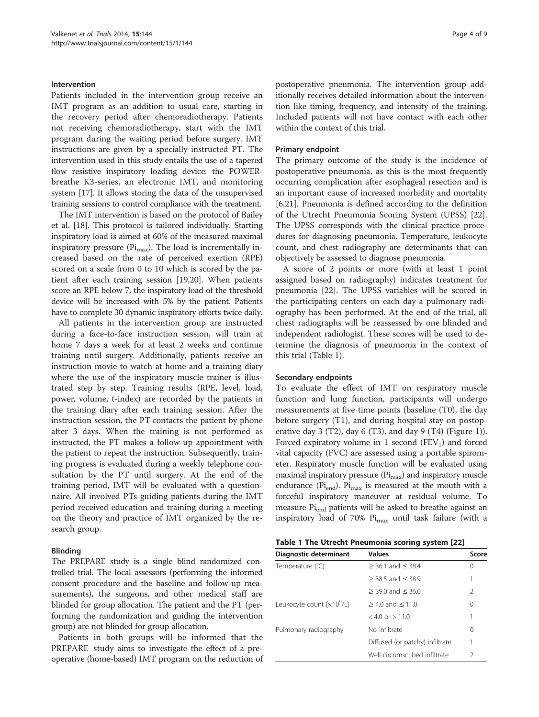#### Intervention

Patients included in the intervention group receive an IMT program as an addition to usual care, starting in the recovery period after chemoradiotherapy. Patients not receiving chemoradiotherapy, start with the IMT program during the waiting period before surgery. IMT instructions are given by a specially instructed PT. The intervention used in this study entails the use of a tapered flow resistive inspiratory loading device: the POWERbreathe K3-series, an electronic IMT, and monitoring system [\[17](#page-8-0)]. It allows storing the data of the unsupervised training sessions to control compliance with the treatment.

The IMT intervention is based on the protocol of Bailey et al. [\[18\]](#page-8-0). This protocol is tailored individually. Starting inspiratory load is aimed at 60% of the measured maximal inspiratory pressure ( $Pi<sub>max</sub>$ ). The load is incrementally increased based on the rate of perceived exertion (RPE) scored on a scale from 0 to 10 which is scored by the patient after each training session [\[19,20](#page-8-0)]. When patients score an RPE below 7, the inspiratory load of the threshold device will be increased with 5% by the patient. Patients have to complete 30 dynamic inspiratory efforts twice daily.

All patients in the intervention group are instructed during a face-to-face instruction session, will train at home 7 days a week for at least 2 weeks and continue training until surgery. Additionally, patients receive an instruction movie to watch at home and a training diary where the use of the inspiratory muscle trainer is illustrated step by step. Training results (RPE, level, load, power, volume, t-index) are recorded by the patients in the training diary after each training session. After the instruction session, the PT contacts the patient by phone after 3 days. When the training is not performed as instructed, the PT makes a follow-up appointment with the patient to repeat the instruction. Subsequently, training progress is evaluated during a weekly telephone consultation by the PT until surgery. At the end of the training period, IMT will be evaluated with a questionnaire. All involved PTs guiding patients during the IMT period received education and training during a meeting on the theory and practice of IMT organized by the research group.

#### Blinding

The PREPARE study is a single blind randomized controlled trial. The local assessors (performing the informed consent procedure and the baseline and follow-up measurements), the surgeons, and other medical staff are blinded for group allocation. The patient and the PT (performing the randomization and guiding the intervention group) are not blinded for group allocation.

Patients in both groups will be informed that the PREPARE study aims to investigate the effect of a preoperative (home-based) IMT program on the reduction of postoperative pneumonia. The intervention group additionally receives detailed information about the intervention like timing, frequency, and intensity of the training. Included patients will not have contact with each other within the context of this trial.

#### Primary endpoint

The primary outcome of the study is the incidence of postoperative pneumonia, as this is the most frequently occurring complication after esophageal resection and is an important cause of increased morbidity and mortality [[6,21\]](#page-8-0). Pneumonia is defined according to the definition of the Utrecht Pneumonia Scoring System (UPSS) [\[22](#page-8-0)]. The UPSS corresponds with the clinical practice procedures for diagnosing pneumonia. Temperature, leukocyte count, and chest radiography are determinants that can objectively be assessed to diagnose pneumonia.

A score of 2 points or more (with at least 1 point assigned based on radiography) indicates treatment for pneumonia [[22](#page-8-0)]. The UPSS variables will be scored in the participating centers on each day a pulmonary radiography has been performed. At the end of the trial, all chest radiographs will be reassessed by one blinded and independent radiologist. These scores will be used to determine the diagnosis of pneumonia in the context of this trial (Table 1).

#### Secondary endpoints

To evaluate the effect of IMT on respiratory muscle function and lung function, participants will undergo measurements at five time points (baseline (T0), the day before surgery (T1), and during hospital stay on postop-erative day 3 (T2), day 6 (T3), and day 9 (T4) (Figure [1](#page-4-0))). Forced expiratory volume in 1 second  $(FEV_1)$  and forced vital capacity (FVC) are assessed using a portable spirometer. Respiratory muscle function will be evaluated using maximal inspiratory pressure  $(\text{Pi}_{\text{max}})$  and inspiratory muscle endurance ( $Pi_{end}$ ).  $Pi_{max}$  is measured at the mouth with a forceful inspiratory maneuver at residual volume. To measure Pi<sub>end</sub> patients will be asked to breathe against an inspiratory load of 70%  $Pi_{max}$  until task failure (with a

|  |  | Table 1 The Utrecht Pneumonia scoring system [22] |  |  |  |
|--|--|---------------------------------------------------|--|--|--|
|--|--|---------------------------------------------------|--|--|--|

| Diagnostic determinant                | <b>Values</b>                   | Score            |
|---------------------------------------|---------------------------------|------------------|
| Temperature (°C)                      | $>$ 36.1 and $<$ 38.4           | O                |
|                                       | $>$ 38.5 and $<$ 38.9           |                  |
|                                       | $>$ 390 and $<$ 360             | $\mathcal{P}$    |
| Leukocyte count [×10 <sup>9</sup> /L] | $>40$ and $< 110$               | $\left( \right)$ |
|                                       | $< 40$ or $> 110$               | 1                |
| Pulmonary radiography                 | No infiltrate                   | 0                |
|                                       | Diffused (or patchy) infiltrate |                  |
|                                       | Well-circumscribed infiltrate   | 2                |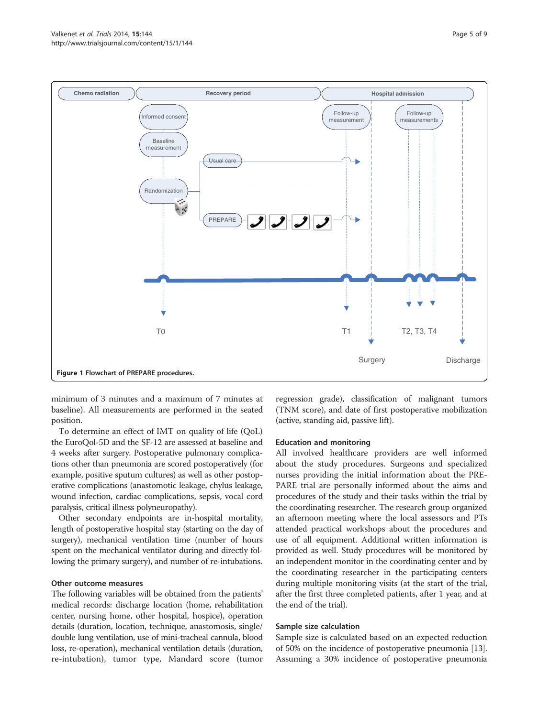<span id="page-4-0"></span>

minimum of 3 minutes and a maximum of 7 minutes at baseline). All measurements are performed in the seated position.

To determine an effect of IMT on quality of life (QoL) the EuroQol-5D and the SF-12 are assessed at baseline and 4 weeks after surgery. Postoperative pulmonary complications other than pneumonia are scored postoperatively (for example, positive sputum cultures) as well as other postoperative complications (anastomotic leakage, chylus leakage, wound infection, cardiac complications, sepsis, vocal cord paralysis, critical illness polyneuropathy).

Other secondary endpoints are in-hospital mortality, length of postoperative hospital stay (starting on the day of surgery), mechanical ventilation time (number of hours spent on the mechanical ventilator during and directly following the primary surgery), and number of re-intubations.

# Other outcome measures

The following variables will be obtained from the patients' medical records: discharge location (home, rehabilitation center, nursing home, other hospital, hospice), operation details (duration, location, technique, anastomosis, single/ double lung ventilation, use of mini-tracheal cannula, blood loss, re-operation), mechanical ventilation details (duration, re-intubation), tumor type, Mandard score (tumor regression grade), classification of malignant tumors (TNM score), and date of first postoperative mobilization (active, standing aid, passive lift).

#### Education and monitoring

All involved healthcare providers are well informed about the study procedures. Surgeons and specialized nurses providing the initial information about the PRE-PARE trial are personally informed about the aims and procedures of the study and their tasks within the trial by the coordinating researcher. The research group organized an afternoon meeting where the local assessors and PTs attended practical workshops about the procedures and use of all equipment. Additional written information is provided as well. Study procedures will be monitored by an independent monitor in the coordinating center and by the coordinating researcher in the participating centers during multiple monitoring visits (at the start of the trial, after the first three completed patients, after 1 year, and at the end of the trial).

# Sample size calculation

Sample size is calculated based on an expected reduction of 50% on the incidence of postoperative pneumonia [[13](#page-8-0)]. Assuming a 30% incidence of postoperative pneumonia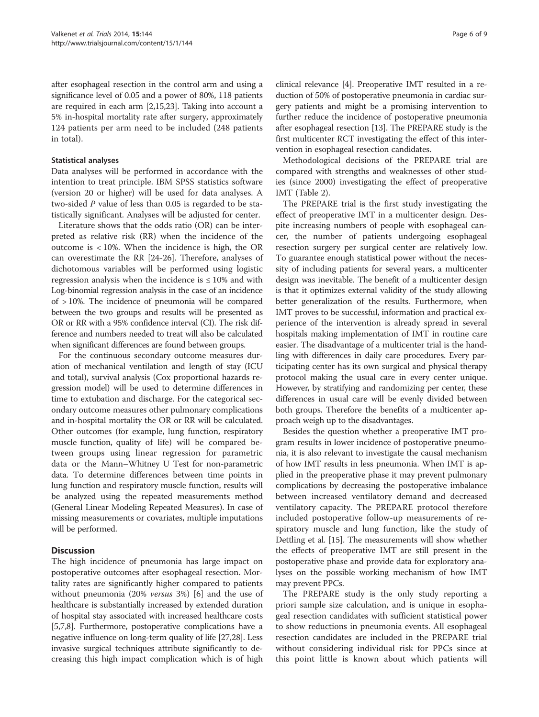after esophageal resection in the control arm and using a significance level of 0.05 and a power of 80%, 118 patients are required in each arm [[2](#page-7-0),[15,23\]](#page-8-0). Taking into account a 5% in-hospital mortality rate after surgery, approximately 124 patients per arm need to be included (248 patients in total).

### Statistical analyses

Data analyses will be performed in accordance with the intention to treat principle. IBM SPSS statistics software (version 20 or higher) will be used for data analyses. A two-sided P value of less than 0.05 is regarded to be statistically significant. Analyses will be adjusted for center.

Literature shows that the odds ratio (OR) can be interpreted as relative risk (RR) when the incidence of the outcome is < 10%. When the incidence is high, the OR can overestimate the RR [[24](#page-8-0)-[26\]](#page-8-0). Therefore, analyses of dichotomous variables will be performed using logistic regression analysis when the incidence is  $\leq 10\%$  and with Log-binomial regression analysis in the case of an incidence of > 10%. The incidence of pneumonia will be compared between the two groups and results will be presented as OR or RR with a 95% confidence interval (CI). The risk difference and numbers needed to treat will also be calculated when significant differences are found between groups.

For the continuous secondary outcome measures duration of mechanical ventilation and length of stay (ICU and total), survival analysis (Cox proportional hazards regression model) will be used to determine differences in time to extubation and discharge. For the categorical secondary outcome measures other pulmonary complications and in-hospital mortality the OR or RR will be calculated. Other outcomes (for example, lung function, respiratory muscle function, quality of life) will be compared between groups using linear regression for parametric data or the Mann–Whitney U Test for non-parametric data. To determine differences between time points in lung function and respiratory muscle function, results will be analyzed using the repeated measurements method (General Linear Modeling Repeated Measures). In case of missing measurements or covariates, multiple imputations will be performed.

# **Discussion**

The high incidence of pneumonia has large impact on postoperative outcomes after esophageal resection. Mortality rates are significantly higher compared to patients without pneumonia (20% versus 3%) [[6\]](#page-8-0) and the use of healthcare is substantially increased by extended duration of hospital stay associated with increased healthcare costs [[5,7](#page-8-0),[8](#page-8-0)]. Furthermore, postoperative complications have a negative influence on long-term quality of life [\[27,28\]](#page-8-0). Less invasive surgical techniques attribute significantly to decreasing this high impact complication which is of high

clinical relevance [\[4](#page-8-0)]. Preoperative IMT resulted in a reduction of 50% of postoperative pneumonia in cardiac surgery patients and might be a promising intervention to further reduce the incidence of postoperative pneumonia after esophageal resection [[13](#page-8-0)]. The PREPARE study is the first multicenter RCT investigating the effect of this intervention in esophageal resection candidates.

Methodological decisions of the PREPARE trial are compared with strengths and weaknesses of other studies (since 2000) investigating the effect of preoperative IMT (Table [2\)](#page-6-0).

The PREPARE trial is the first study investigating the effect of preoperative IMT in a multicenter design. Despite increasing numbers of people with esophageal cancer, the number of patients undergoing esophageal resection surgery per surgical center are relatively low. To guarantee enough statistical power without the necessity of including patients for several years, a multicenter design was inevitable. The benefit of a multicenter design is that it optimizes external validity of the study allowing better generalization of the results. Furthermore, when IMT proves to be successful, information and practical experience of the intervention is already spread in several hospitals making implementation of IMT in routine care easier. The disadvantage of a multicenter trial is the handling with differences in daily care procedures. Every participating center has its own surgical and physical therapy protocol making the usual care in every center unique. However, by stratifying and randomizing per center, these differences in usual care will be evenly divided between both groups. Therefore the benefits of a multicenter approach weigh up to the disadvantages.

Besides the question whether a preoperative IMT program results in lower incidence of postoperative pneumonia, it is also relevant to investigate the causal mechanism of how IMT results in less pneumonia. When IMT is applied in the preoperative phase it may prevent pulmonary complications by decreasing the postoperative imbalance between increased ventilatory demand and decreased ventilatory capacity. The PREPARE protocol therefore included postoperative follow-up measurements of respiratory muscle and lung function, like the study of Dettling et al. [\[15\]](#page-8-0). The measurements will show whether the effects of preoperative IMT are still present in the postoperative phase and provide data for exploratory analyses on the possible working mechanism of how IMT may prevent PPCs.

The PREPARE study is the only study reporting a priori sample size calculation, and is unique in esophageal resection candidates with sufficient statistical power to show reductions in pneumonia events. All esophageal resection candidates are included in the PREPARE trial without considering individual risk for PPCs since at this point little is known about which patients will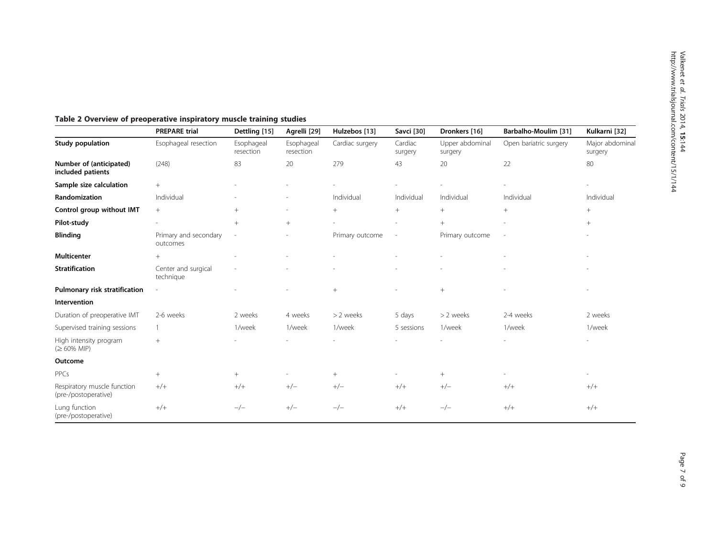# <span id="page-6-0"></span>Table 2 Overview of preoperative inspiratory muscle training studies

|                                                     | <b>PREPARE trial</b>              | Dettling [15]           | Agrelli [29]            | Hulzebos [13]   | Savci [30]               | Dronkers [16]              | Barbalho-Moulim [31]     | Kulkarni [32]              |
|-----------------------------------------------------|-----------------------------------|-------------------------|-------------------------|-----------------|--------------------------|----------------------------|--------------------------|----------------------------|
| Study population                                    | Esophageal resection              | Esophageal<br>resection | Esophageal<br>resection | Cardiac surgery | Cardiac<br>surgery       | Upper abdominal<br>surgery | Open bariatric surgery   | Major abdominal<br>surgery |
| Number of (anticipated)<br>included patients        | (248)                             | 83                      | 20                      | 279             | 43                       | 20                         | 22                       | 80                         |
| Sample size calculation                             | $+$                               |                         |                         |                 |                          |                            |                          |                            |
| Randomization                                       | Individual                        |                         |                         | Individual      | Individual               | Individual                 | Individual               | Individual                 |
| Control group without IMT                           | $+$                               | $^{+}$                  | ۰                       | $^{+}$          | $^{+}$                   | $+$                        | $^{+}$                   | $\! + \!\!\!\!$            |
| Pilot-study                                         |                                   | $+$                     | $+$                     |                 | $\overline{\phantom{a}}$ | $+$                        | $\overline{\phantom{a}}$ | $+$                        |
| <b>Blinding</b>                                     | Primary and secondary<br>outcomes | $\sim$                  |                         | Primary outcome | $\overline{\phantom{a}}$ | Primary outcome            |                          |                            |
| Multicenter                                         | $^{+}$                            |                         |                         |                 |                          |                            |                          |                            |
| <b>Stratification</b>                               | Center and surgical<br>technique  |                         |                         |                 |                          |                            |                          |                            |
| Pulmonary risk stratification                       | $\overline{\phantom{a}}$          |                         |                         | $^{+}$          |                          | $+$                        |                          |                            |
| Intervention                                        |                                   |                         |                         |                 |                          |                            |                          |                            |
| Duration of preoperative IMT                        | 2-6 weeks                         | 2 weeks                 | 4 weeks                 | > 2 weeks       | 5 days                   | > 2 weeks                  | 2-4 weeks                | 2 weeks                    |
| Supervised training sessions                        | $\mathbf{1}$                      | 1/week                  | 1/week                  | 1/week          | 5 sessions               | 1/week                     | 1/week                   | 1/week                     |
| High intensity program<br>$(\geq 60\% \text{ MIP})$ | $+$                               |                         |                         |                 |                          |                            |                          |                            |
| Outcome                                             |                                   |                         |                         |                 |                          |                            |                          |                            |
| PPCs                                                | $^{+}$                            | $^{+}$                  | ٠                       | $^{+}$          | ٠                        | $+$                        | $\sim$                   | $\overline{\phantom{a}}$   |
| Respiratory muscle function<br>(pre-/postoperative) | $+/+$                             | $+/+$                   | $+/-$                   | $+/-$           | $+/+$                    | $+/-$                      | $+/+$                    | $+/+$                      |
| Lung function<br>(pre-/postoperative)               | $+/+$                             | $-/-$                   | $+/-$                   | $-/-$           | $+/+$                    | $-/-$                      | $+/+$                    | $+/+$                      |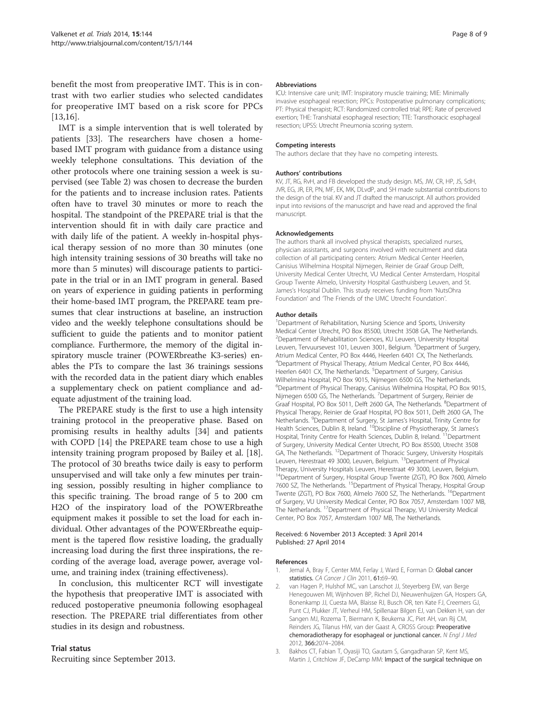<span id="page-7-0"></span>benefit the most from preoperative IMT. This is in contrast with two earlier studies who selected candidates for preoperative IMT based on a risk score for PPCs [[13,16](#page-8-0)].

IMT is a simple intervention that is well tolerated by patients [\[33](#page-8-0)]. The researchers have chosen a homebased IMT program with guidance from a distance using weekly telephone consultations. This deviation of the other protocols where one training session a week is supervised (see Table [2\)](#page-6-0) was chosen to decrease the burden for the patients and to increase inclusion rates. Patients often have to travel 30 minutes or more to reach the hospital. The standpoint of the PREPARE trial is that the intervention should fit in with daily care practice and with daily life of the patient. A weekly in-hospital physical therapy session of no more than 30 minutes (one high intensity training sessions of 30 breaths will take no more than 5 minutes) will discourage patients to participate in the trial or in an IMT program in general. Based on years of experience in guiding patients in performing their home-based IMT program, the PREPARE team presumes that clear instructions at baseline, an instruction video and the weekly telephone consultations should be sufficient to guide the patients and to monitor patient compliance. Furthermore, the memory of the digital inspiratory muscle trainer (POWERbreathe K3-series) enables the PTs to compare the last 36 trainings sessions with the recorded data in the patient diary which enables a supplementary check on patient compliance and adequate adjustment of the training load.

The PREPARE study is the first to use a high intensity training protocol in the preoperative phase. Based on promising results in healthy adults [[34\]](#page-8-0) and patients with COPD [\[14\]](#page-8-0) the PREPARE team chose to use a high intensity training program proposed by Bailey et al. [\[18](#page-8-0)]. The protocol of 30 breaths twice daily is easy to perform unsupervised and will take only a few minutes per training session, possibly resulting in higher compliance to this specific training. The broad range of 5 to 200 cm H2O of the inspiratory load of the POWERbreathe equipment makes it possible to set the load for each individual. Other advantages of the POWERbreathe equipment is the tapered flow resistive loading, the gradually increasing load during the first three inspirations, the recording of the average load, average power, average volume, and training index (training effectiveness).

In conclusion, this multicenter RCT will investigate the hypothesis that preoperative IMT is associated with reduced postoperative pneumonia following esophageal resection. The PREPARE trial differentiates from other studies in its design and robustness.

#### Trial status

Recruiting since September 2013.

#### **Abbreviations**

ICU: Intensive care unit; IMT: Inspiratory muscle training; MIE: Minimally invasive esophageal resection; PPCs: Postoperative pulmonary complications; PT: Physical therapist; RCT: Randomized controlled trial; RPE: Rate of perceived exertion; THE: Transhiatal esophageal resection; TTE: Transthoracic esophageal resection; UPSS: Utrecht Pneumonia scoring system.

#### Competing interests

The authors declare that they have no competing interests.

#### Authors' contributions

KV, JT, RG, RvH, and FB developed the study design. MS, JW, CR, HP, JS, SdH, JVR, EG, JR, ER, PN, MF, EK, MK, DLvdP, and SH made substantial contributions to the design of the trial. KV and JT drafted the manuscript. All authors provided input into revisions of the manuscript and have read and approved the final manuscript.

#### Acknowledgements

The authors thank all involved physical therapists, specialized nurses, physician assistants, and surgeons involved with recruitment and data collection of all participating centers: Atrium Medical Center Heerlen, Canisius Wilhelmina Hospital Nijmegen, Reinier de Graaf Group Delft, University Medical Center Utrecht, VU Medical Center Amsterdam, Hospital Group Twente Almelo, University Hospital Gasthuisberg Leuven, and St. James's Hospital Dublin. This study receives funding from 'NutsOhra Foundation' and 'The Friends of the UMC Utrecht Foundation'.

#### Author details

<sup>1</sup>Department of Rehabilitation, Nursing Science and Sports, University Medical Center Utrecht, PO Box 85500, Utrecht 3508 GA, The Netherlands. <sup>2</sup>Department of Rehabilitation Sciences, KU Leuven, University Hospital Leuven, Tervuursevest 101, Leuven 3001, Belgium. <sup>3</sup>Department of Surgery, Atrium Medical Center, PO Box 4446, Heerlen 6401 CX, The Netherlands. 4 Department of Physical Therapy, Atrium Medical Center, PO Box 4446, Heerlen 6401 CX, The Netherlands. <sup>5</sup>Department of Surgery, Canisius Wilhelmina Hospital, PO Box 9015, Nijmegen 6500 GS, The Netherlands. 6 Department of Physical Therapy, Canisius Wilhelmina Hospital, PO Box 9015, Nijmegen 6500 GS, The Netherlands. <sup>7</sup>Department of Surgery, Reinier de Graaf Hospital, PO Box 5011, Delft 2600 GA, The Netherlands. <sup>8</sup>Department of Physical Therapy, Reinier de Graaf Hospital, PO Box 5011, Delft 2600 GA, The Netherlands. <sup>9</sup>Department of Surgery, St James's Hospital, Trinity Centre for Health Sciences, Dublin 8, Ireland. <sup>10</sup>Discipline of Physiotherapy, St James's Hospital, Trinity Centre for Health Sciences, Dublin 8, Ireland. <sup>11</sup>Department of Surgery, University Medical Center Utrecht, PO Box 85500, Utrecht 3508 GA, The Netherlands. <sup>12</sup>Department of Thoracic Surgery, University Hospitals Leuven, Herestraat 49 3000, Leuven, Belgium. 13Department of Physical Therapy, University Hospitals Leuven, Herestraat 49 3000, Leuven, Belgium. <sup>14</sup>Department of Surgery, Hospital Group Twente (ZGT), PO Box 7600, Almelo 7600 SZ, The Netherlands. <sup>15</sup>Department of Physical Therapy, Hospital Group Twente (ZGT), PO Box 7600, Almelo 7600 SZ, The Netherlands. <sup>16</sup>Department of Surgery, VU University Medical Center, PO Box 7057, Amsterdam 1007 MB, The Netherlands. 17Department of Physical Therapy, VU University Medical Center, PO Box 7057, Amsterdam 1007 MB, The Netherlands.

#### Received: 6 November 2013 Accepted: 3 April 2014 Published: 27 April 2014

#### References

- 1. Jemal A, Bray F, Center MM, Ferlay J, Ward E, Forman D: Global cancer statistics. CA Cancer J Clin 2011, 61:69-90.
- 2. van Hagen P, Hulshof MC, van Lanschot JJ, Steyerberg EW, van Berge Henegouwen MI, Wijnhoven BP, Richel DJ, Nieuwenhuijzen GA, Hospers GA, Bonenkamp JJ, Cuesta MA, Blaisse RJ, Busch OR, ten Kate FJ, Creemers GJ, Punt CJ, Plukker JT, Verheul HM, Spillenaar Bilgen EJ, van Dekken H, van der Sangen MJ, Rozema T, Biermann K, Beukema JC, Piet AH, van Rij CM, Reinders JG, Tilanus HW, van der Gaast A, CROSS Group: Preoperative chemoradiotherapy for esophageal or junctional cancer. N Engl J Med 2012, 366:2074–2084.
- 3. Bakhos CT, Fabian T, Oyasiji TO, Gautam S, Gangadharan SP, Kent MS, Martin J, Critchlow JF, DeCamp MM: Impact of the surgical technique on